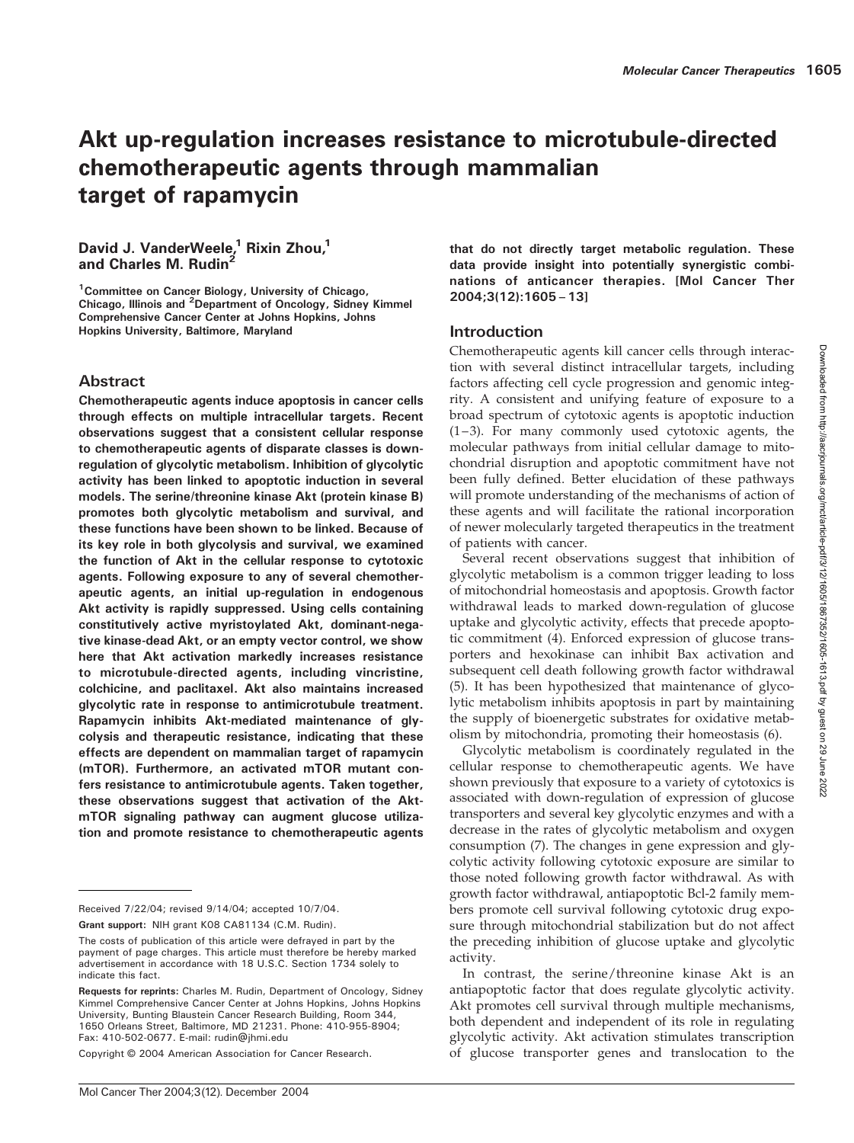# Akt up-regulation increases resistance to microtubule-directed chemotherapeutic agents through mammalian target of rapamycin

# David J. VanderWeele,<sup>1</sup> Rixin Zhou,<sup>1</sup> and Charles M. Rudin<sup>2</sup>

<sup>1</sup> Committee on Cancer Biology, University of Chicago, Chicago, Illinois and <sup>2</sup>Department of Oncology, Sidney Kimmel Comprehensive Cancer Center at Johns Hopkins, Johns Hopkins University, Baltimore, Maryland

### Abstract

Chemotherapeutic agents induce apoptosis in cancer cells through effects on multiple intracellular targets. Recent observations suggest that a consistent cellular response to chemotherapeutic agents of disparate classes is downregulation of glycolytic metabolism. Inhibition of glycolytic activity has been linked to apoptotic induction in several models. The serine/threonine kinase Akt (protein kinase B) promotes both glycolytic metabolism and survival, and these functions have been shown to be linked. Because of its key role in both glycolysis and survival, we examined the function of Akt in the cellular response to cytotoxic agents. Following exposure to any of several chemotherapeutic agents, an initial up-regulation in endogenous Akt activity is rapidly suppressed. Using cells containing constitutively active myristoylated Akt, dominant-negative kinase-dead Akt, or an empty vector control, we show here that Akt activation markedly increases resistance to microtubule-directed agents, including vincristine, colchicine, and paclitaxel. Akt also maintains increased glycolytic rate in response to antimicrotubule treatment. Rapamycin inhibits Akt-mediated maintenance of glycolysis and therapeutic resistance, indicating that these effects are dependent on mammalian target of rapamycin (mTOR). Furthermore, an activated mTOR mutant confers resistance to antimicrotubule agents. Taken together, these observations suggest that activation of the AktmTOR signaling pathway can augment glucose utilization and promote resistance to chemotherapeutic agents

Grant support: NIH grant K08 CA81134 (C.M. Rudin).

Copyright © 2004 American Association for Cancer Research.

that do not directly target metabolic regulation. These data provide insight into potentially synergistic combinations of anticancer therapies. [Mol Cancer Ther 2004;3(12):1605–13]

### Introduction

Chemotherapeutic agents kill cancer cells through interaction with several distinct intracellular targets, including factors affecting cell cycle progression and genomic integrity. A consistent and unifying feature of exposure to a broad spectrum of cytotoxic agents is apoptotic induction (1–3). For many commonly used cytotoxic agents, the molecular pathways from initial cellular damage to mitochondrial disruption and apoptotic commitment have not been fully defined. Better elucidation of these pathways will promote understanding of the mechanisms of action of these agents and will facilitate the rational incorporation of newer molecularly targeted therapeutics in the treatment of patients with cancer.

Several recent observations suggest that inhibition of glycolytic metabolism is a common trigger leading to loss of mitochondrial homeostasis and apoptosis. Growth factor withdrawal leads to marked down-regulation of glucose uptake and glycolytic activity, effects that precede apoptotic commitment (4). Enforced expression of glucose transporters and hexokinase can inhibit Bax activation and subsequent cell death following growth factor withdrawal (5). It has been hypothesized that maintenance of glycolytic metabolism inhibits apoptosis in part by maintaining the supply of bioenergetic substrates for oxidative metabolism by mitochondria, promoting their homeostasis (6).

Glycolytic metabolism is coordinately regulated in the cellular response to chemotherapeutic agents. We have shown previously that exposure to a variety of cytotoxics is associated with down-regulation of expression of glucose transporters and several key glycolytic enzymes and with a decrease in the rates of glycolytic metabolism and oxygen consumption (7). The changes in gene expression and glycolytic activity following cytotoxic exposure are similar to those noted following growth factor withdrawal. As with growth factor withdrawal, antiapoptotic Bcl-2 family members promote cell survival following cytotoxic drug exposure through mitochondrial stabilization but do not affect the preceding inhibition of glucose uptake and glycolytic activity.

In contrast, the serine/threonine kinase Akt is an antiapoptotic factor that does regulate glycolytic activity. Akt promotes cell survival through multiple mechanisms, both dependent and independent of its role in regulating glycolytic activity. Akt activation stimulates transcription of glucose transporter genes and translocation to the

Received 7/22/04; revised 9/14/04; accepted 10/7/04.

The costs of publication of this article were defrayed in part by the payment of page charges. This article must therefore be hereby marked advertisement in accordance with 18 U.S.C. Section 1734 solely to indicate this fact.

Requests for reprints: Charles M. Rudin, Department of Oncology, Sidney Kimmel Comprehensive Cancer Center at Johns Hopkins, Johns Hopkins University, Bunting Blaustein Cancer Research Building, Room 344, 1650 Orleans Street, Baltimore, MD 21231. Phone: 410-955-8904; Fax: 410-502-0677. E-mail: rudin@jhmi.edu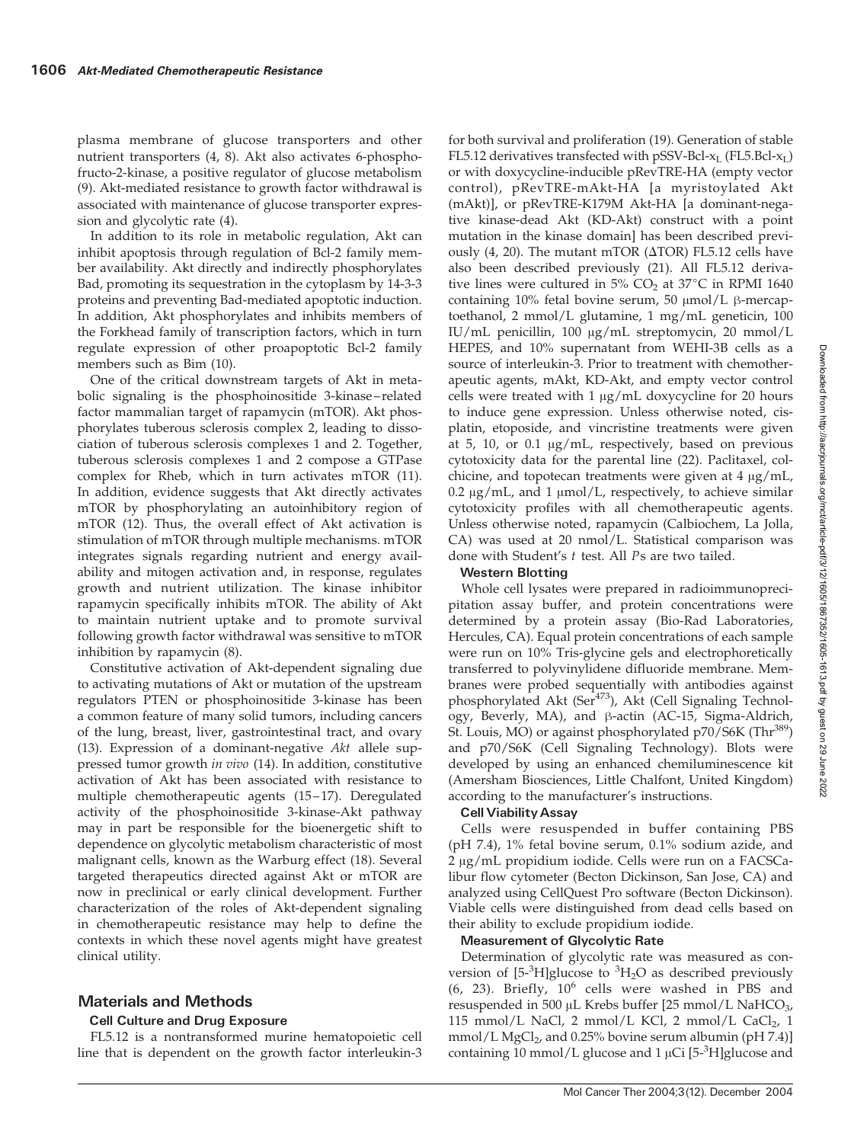plasma membrane of glucose transporters and other nutrient transporters (4, 8). Akt also activates 6-phosphofructo-2-kinase, a positive regulator of glucose metabolism (9). Akt-mediated resistance to growth factor withdrawal is associated with maintenance of glucose transporter expression and glycolytic rate (4).

In addition to its role in metabolic regulation, Akt can inhibit apoptosis through regulation of Bcl-2 family member availability. Akt directly and indirectly phosphorylates Bad, promoting its sequestration in the cytoplasm by 14-3-3 proteins and preventing Bad-mediated apoptotic induction. In addition, Akt phosphorylates and inhibits members of the Forkhead family of transcription factors, which in turn regulate expression of other proapoptotic Bcl-2 family members such as Bim (10).

One of the critical downstream targets of Akt in metabolic signaling is the phosphoinositide 3-kinase–related factor mammalian target of rapamycin (mTOR). Akt phosphorylates tuberous sclerosis complex 2, leading to dissociation of tuberous sclerosis complexes 1 and 2. Together, tuberous sclerosis complexes 1 and 2 compose a GTPase complex for Rheb, which in turn activates mTOR (11). In addition, evidence suggests that Akt directly activates mTOR by phosphorylating an autoinhibitory region of mTOR (12). Thus, the overall effect of Akt activation is stimulation of mTOR through multiple mechanisms. mTOR integrates signals regarding nutrient and energy availability and mitogen activation and, in response, regulates growth and nutrient utilization. The kinase inhibitor rapamycin specifically inhibits mTOR. The ability of Akt to maintain nutrient uptake and to promote survival following growth factor withdrawal was sensitive to mTOR inhibition by rapamycin (8).

Constitutive activation of Akt-dependent signaling due to activating mutations of Akt or mutation of the upstream regulators PTEN or phosphoinositide 3-kinase has been a common feature of many solid tumors, including cancers of the lung, breast, liver, gastrointestinal tract, and ovary (13). Expression of a dominant-negative Akt allele suppressed tumor growth in vivo (14). In addition, constitutive activation of Akt has been associated with resistance to multiple chemotherapeutic agents (15–17). Deregulated activity of the phosphoinositide 3-kinase-Akt pathway may in part be responsible for the bioenergetic shift to dependence on glycolytic metabolism characteristic of most malignant cells, known as the Warburg effect (18). Several targeted therapeutics directed against Akt or mTOR are now in preclinical or early clinical development. Further characterization of the roles of Akt-dependent signaling in chemotherapeutic resistance may help to define the contexts in which these novel agents might have greatest clinical utility.

# Materials and Methods

### Cell Culture and Drug Exposure

FL5.12 is a nontransformed murine hematopoietic cell line that is dependent on the growth factor interleukin-3

for both survival and proliferation (19). Generation of stable FL5.12 derivatives transfected with pSSV-Bcl- $x_L$  (FL5.Bcl- $x_L$ ) or with doxycycline-inducible pRevTRE-HA (empty vector control), pRevTRE-mAkt-HA [a myristoylated Akt (mAkt)], or pRevTRE-K179M Akt-HA [a dominant-negative kinase-dead Akt (KD-Akt) construct with a point mutation in the kinase domain] has been described previously (4, 20). The mutant mTOR ( $\triangle$ TOR) FL5.12 cells have also been described previously (21). All FL5.12 derivative lines were cultured in  $5\%$  CO<sub>2</sub> at  $37^{\circ}$ C in RPMI 1640 containing 10% fetal bovine serum, 50  $\mu$ mol/L  $\beta$ -mercaptoethanol, 2 mmol/L glutamine, 1 mg/mL geneticin, 100 IU/mL penicillin, 100 µg/mL streptomycin, 20 mmol/L HEPES, and 10% supernatant from WEHI-3B cells as a source of interleukin-3. Prior to treatment with chemotherapeutic agents, mAkt, KD-Akt, and empty vector control cells were treated with  $1 \mu g/mL$  doxycycline for 20 hours to induce gene expression. Unless otherwise noted, cisplatin, etoposide, and vincristine treatments were given at 5, 10, or 0.1  $\mu$ g/mL, respectively, based on previous cytotoxicity data for the parental line (22). Paclitaxel, colchicine, and topotecan treatments were given at  $4 \mu g/mL$ , 0.2  $\mu$ g/mL, and 1  $\mu$ mol/L, respectively, to achieve similar cytotoxicity profiles with all chemotherapeutic agents. Unless otherwise noted, rapamycin (Calbiochem, La Jolla, CA) was used at 20 nmol/L. Statistical comparison was done with Student's t test. All Ps are two tailed.

### Western Blotting

Whole cell lysates were prepared in radioimmunoprecipitation assay buffer, and protein concentrations were determined by a protein assay (Bio-Rad Laboratories, Hercules, CA). Equal protein concentrations of each sample were run on 10% Tris-glycine gels and electrophoretically transferred to polyvinylidene difluoride membrane. Membranes were probed sequentially with antibodies against phosphorylated Akt (Ser<sup>473</sup>), Akt (Cell Signaling Technology, Beverly, MA), and β-actin (AC-15, Sigma-Aldrich, St. Louis, MO) or against phosphorylated p70/S6K (Thr<sup>389</sup>) and p70/S6K (Cell Signaling Technology). Blots were developed by using an enhanced chemiluminescence kit (Amersham Biosciences, Little Chalfont, United Kingdom) according to the manufacturer's instructions.

### Cell ViabilityAssay

Cells were resuspended in buffer containing PBS (pH 7.4), 1% fetal bovine serum, 0.1% sodium azide, and  $2 \mu g/mL$  propidium iodide. Cells were run on a FACSCalibur flow cytometer (Becton Dickinson, San Jose, CA) and analyzed using CellQuest Pro software (Becton Dickinson). Viable cells were distinguished from dead cells based on their ability to exclude propidium iodide.

### Measurement of Glycolytic Rate

Determination of glycolytic rate was measured as conversion of  $[5\text{-}^{3}H]$ glucose to  $^{3}H_{2}O$  as described previously  $(6, 23)$ . Briefly,  $10^6$  cells were washed in PBS and resuspended in 500  $\mu$ L Krebs buffer [25 mmol/L NaHCO<sub>3</sub>, 115 mmol/L NaCl, 2 mmol/L KCl, 2 mmol/L CaCl<sub>2</sub>, 1 mmol/L MgCl<sub>2</sub>, and 0.25% bovine serum albumin (pH 7.4)] containing  $10$  mmol/L glucose and  $1 \mu$ Ci [5- $3$ H]glucose and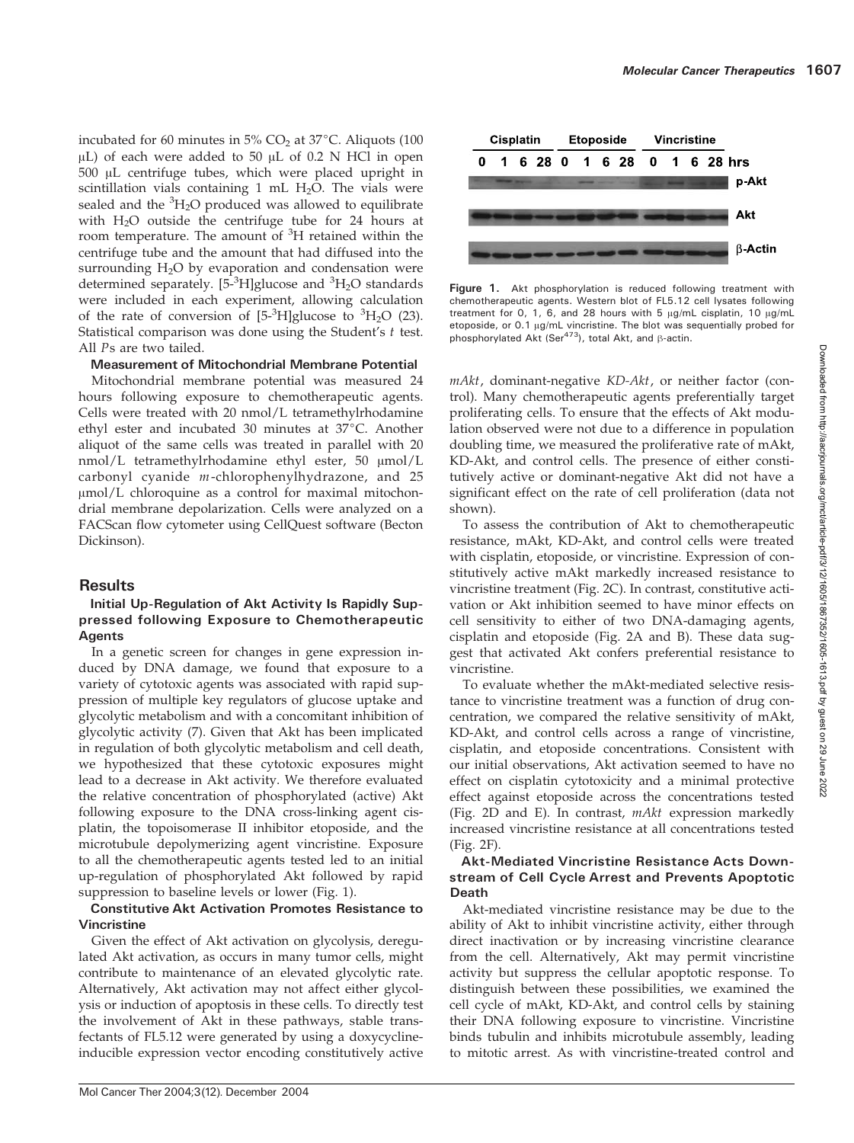incubated for 60 minutes in  $5\%$  CO<sub>2</sub> at  $37^{\circ}$ C. Aliquots (100)  $\mu$ L) of each were added to 50  $\mu$ L of 0.2 N HCl in open  $500$   $\mu$ L centrifuge tubes, which were placed upright in scintillation vials containing 1 mL  $H_2O$ . The vials were sealed and the <sup>3</sup>H<sub>2</sub>O produced was allowed to equilibrate with  $H_2O$  outside the centrifuge tube for 24 hours at room temperature. The amount of <sup>3</sup>H retained within the centrifuge tube and the amount that had diffused into the surrounding  $H_2O$  by evaporation and condensation were determined separately. [5-<sup>3</sup>H]glucose and <sup>3</sup>H<sub>2</sub>O standards were included in each experiment, allowing calculation of the rate of conversion of  $[5\text{-}^3H]$ glucose to  ${}^3H_2O$  (23). Statistical comparison was done using the Student's  $t$  test. All Ps are two tailed.

### Measurement of Mitochondrial Membrane Potential

Mitochondrial membrane potential was measured 24 hours following exposure to chemotherapeutic agents. Cells were treated with 20 nmol/L tetramethylrhodamine ethyl ester and incubated 30 minutes at  $37^{\circ}$ C. Another aliquot of the same cells was treated in parallel with 20  $nmol/L$  tetramethylrhodamine ethyl ester, 50  $\mu mol/L$ carbonyl cyanide m-chlorophenylhydrazone, and 25  $\mu$ mol/L chloroquine as a control for maximal mitochondrial membrane depolarization. Cells were analyzed on a FACScan flow cytometer using CellQuest software (Becton Dickinson).

# **Results**

### Initial Up-Regulation of Akt Activity Is Rapidly Suppressed following Exposure to Chemotherapeutic Agents

In a genetic screen for changes in gene expression induced by DNA damage, we found that exposure to a variety of cytotoxic agents was associated with rapid suppression of multiple key regulators of glucose uptake and glycolytic metabolism and with a concomitant inhibition of glycolytic activity (7). Given that Akt has been implicated in regulation of both glycolytic metabolism and cell death, we hypothesized that these cytotoxic exposures might lead to a decrease in Akt activity. We therefore evaluated the relative concentration of phosphorylated (active) Akt following exposure to the DNA cross-linking agent cisplatin, the topoisomerase II inhibitor etoposide, and the microtubule depolymerizing agent vincristine. Exposure to all the chemotherapeutic agents tested led to an initial up-regulation of phosphorylated Akt followed by rapid suppression to baseline levels or lower (Fig. 1).

### Constitutive Akt Activation Promotes Resistance to Vincristine

Given the effect of Akt activation on glycolysis, deregulated Akt activation, as occurs in many tumor cells, might contribute to maintenance of an elevated glycolytic rate. Alternatively, Akt activation may not affect either glycolysis or induction of apoptosis in these cells. To directly test the involvement of Akt in these pathways, stable transfectants of FL5.12 were generated by using a doxycyclineinducible expression vector encoding constitutively active



Figure 1. Akt phosphorylation is reduced following treatment with chemotherapeutic agents. Western blot of FL5.12 cell lysates following treatment for 0, 1, 6, and 28 hours with 5  $\mu$ g/mL cisplatin, 10  $\mu$ g/mL etoposide, or 0.1 µg/mL vincristine. The blot was sequentially probed for phosphorylated Akt (Ser<sup>473</sup>), total Akt, and  $\beta$ -actin.

mAkt, dominant-negative KD-Akt, or neither factor (control). Many chemotherapeutic agents preferentially target proliferating cells. To ensure that the effects of Akt modulation observed were not due to a difference in population doubling time, we measured the proliferative rate of mAkt, KD-Akt, and control cells. The presence of either constitutively active or dominant-negative Akt did not have a significant effect on the rate of cell proliferation (data not shown).

To assess the contribution of Akt to chemotherapeutic resistance, mAkt, KD-Akt, and control cells were treated with cisplatin, etoposide, or vincristine. Expression of constitutively active mAkt markedly increased resistance to vincristine treatment (Fig. 2C). In contrast, constitutive activation or Akt inhibition seemed to have minor effects on cell sensitivity to either of two DNA-damaging agents, cisplatin and etoposide (Fig. 2A and B). These data suggest that activated Akt confers preferential resistance to vincristine.

To evaluate whether the mAkt-mediated selective resistance to vincristine treatment was a function of drug concentration, we compared the relative sensitivity of mAkt, KD-Akt, and control cells across a range of vincristine, cisplatin, and etoposide concentrations. Consistent with our initial observations, Akt activation seemed to have no effect on cisplatin cytotoxicity and a minimal protective effect against etoposide across the concentrations tested (Fig. 2D and E). In contrast, mAkt expression markedly increased vincristine resistance at all concentrations tested (Fig. 2F).

### Akt-Mediated Vincristine Resistance Acts Downstream of Cell Cycle Arrest and Prevents Apoptotic Death

Akt-mediated vincristine resistance may be due to the ability of Akt to inhibit vincristine activity, either through direct inactivation or by increasing vincristine clearance from the cell. Alternatively, Akt may permit vincristine activity but suppress the cellular apoptotic response. To distinguish between these possibilities, we examined the cell cycle of mAkt, KD-Akt, and control cells by staining their DNA following exposure to vincristine. Vincristine binds tubulin and inhibits microtubule assembly, leading to mitotic arrest. As with vincristine-treated control and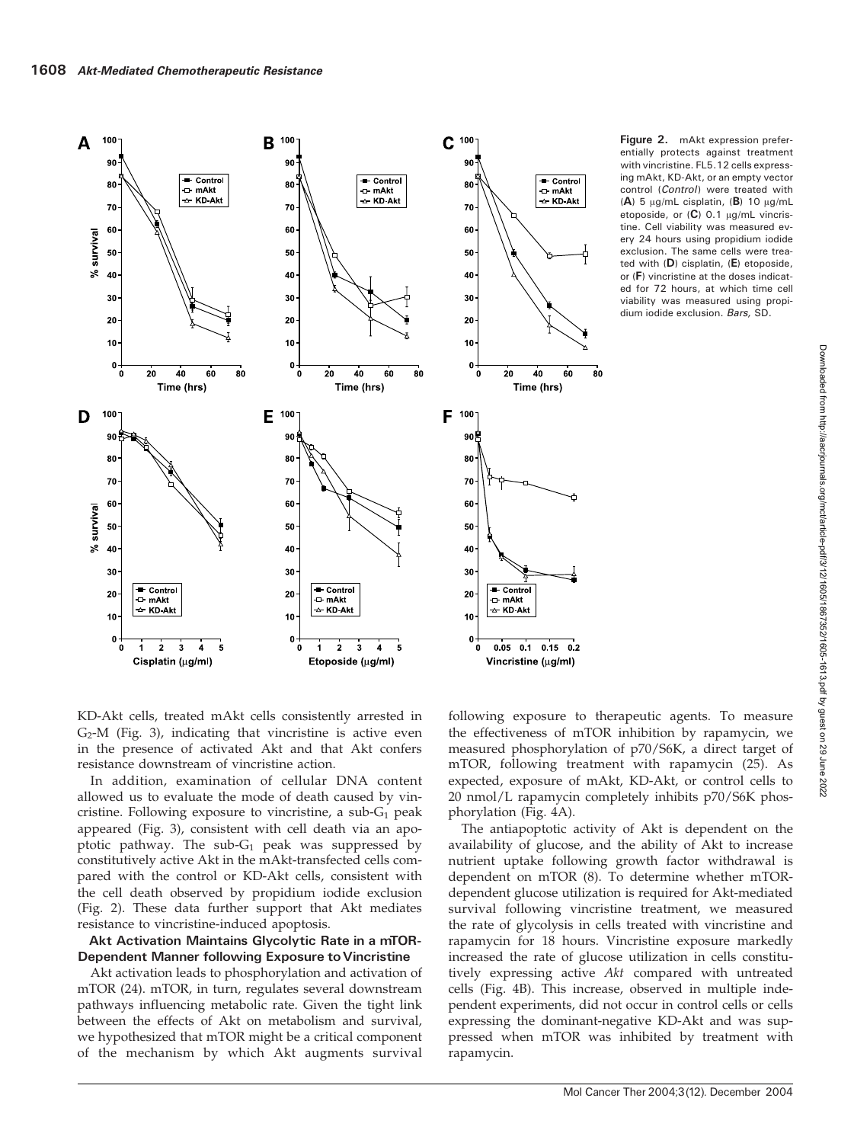

Figure 2. mAkt expression preferentially protects against treatment with vincristine. FL5.12 cells expressing mAkt, KD-Akt, or an empty vector control (Control) were treated with (A) 5  $\mu$ g/mL cisplatin, (B) 10  $\mu$ g/mL etoposide, or  $(C)$  0.1  $\mu$ g/mL vincristine. Cell viability was measured every 24 hours using propidium iodide exclusion. The same cells were treated with (D) cisplatin, (E) etoposide, or (F) vincristine at the doses indicated for 72 hours, at which time cell viability was measured using propidium iodide exclusion. Bars, SD.

> Downloaded from http://aacrjournals.org/mct/article-pdf/3/12/1605/1867352/1605-1613.pdf by guest on 29 June 2022 Downloaded from http://aacrjournals.org/mct/article-pdf/3/12/1605/1867352/1605-1613.pdf by guest on 29 June 2022

KD-Akt cells, treated mAkt cells consistently arrested in  $G_2$ -M (Fig. 3), indicating that vincristine is active even in the presence of activated Akt and that Akt confers resistance downstream of vincristine action.

In addition, examination of cellular DNA content allowed us to evaluate the mode of death caused by vincristine. Following exposure to vincristine, a sub- $G_1$  peak appeared (Fig. 3), consistent with cell death via an apoptotic pathway. The sub- $G_1$  peak was suppressed by constitutively active Akt in the mAkt-transfected cells compared with the control or KD-Akt cells, consistent with the cell death observed by propidium iodide exclusion (Fig. 2). These data further support that Akt mediates resistance to vincristine-induced apoptosis.

#### Akt Activation Maintains Glycolytic Rate in a mTOR-Dependent Manner following Exposure to Vincristine

Akt activation leads to phosphorylation and activation of mTOR (24). mTOR, in turn, regulates several downstream pathways influencing metabolic rate. Given the tight link between the effects of Akt on metabolism and survival, we hypothesized that mTOR might be a critical component of the mechanism by which Akt augments survival

following exposure to therapeutic agents. To measure the effectiveness of mTOR inhibition by rapamycin, we measured phosphorylation of p70/S6K, a direct target of mTOR, following treatment with rapamycin (25). As expected, exposure of mAkt, KD-Akt, or control cells to 20 nmol/L rapamycin completely inhibits p70/S6K phosphorylation (Fig. 4A).

The antiapoptotic activity of Akt is dependent on the availability of glucose, and the ability of Akt to increase nutrient uptake following growth factor withdrawal is dependent on mTOR (8). To determine whether mTORdependent glucose utilization is required for Akt-mediated survival following vincristine treatment, we measured the rate of glycolysis in cells treated with vincristine and rapamycin for 18 hours. Vincristine exposure markedly increased the rate of glucose utilization in cells constitutively expressing active Akt compared with untreated cells (Fig. 4B). This increase, observed in multiple independent experiments, did not occur in control cells or cells expressing the dominant-negative KD-Akt and was suppressed when mTOR was inhibited by treatment with rapamycin.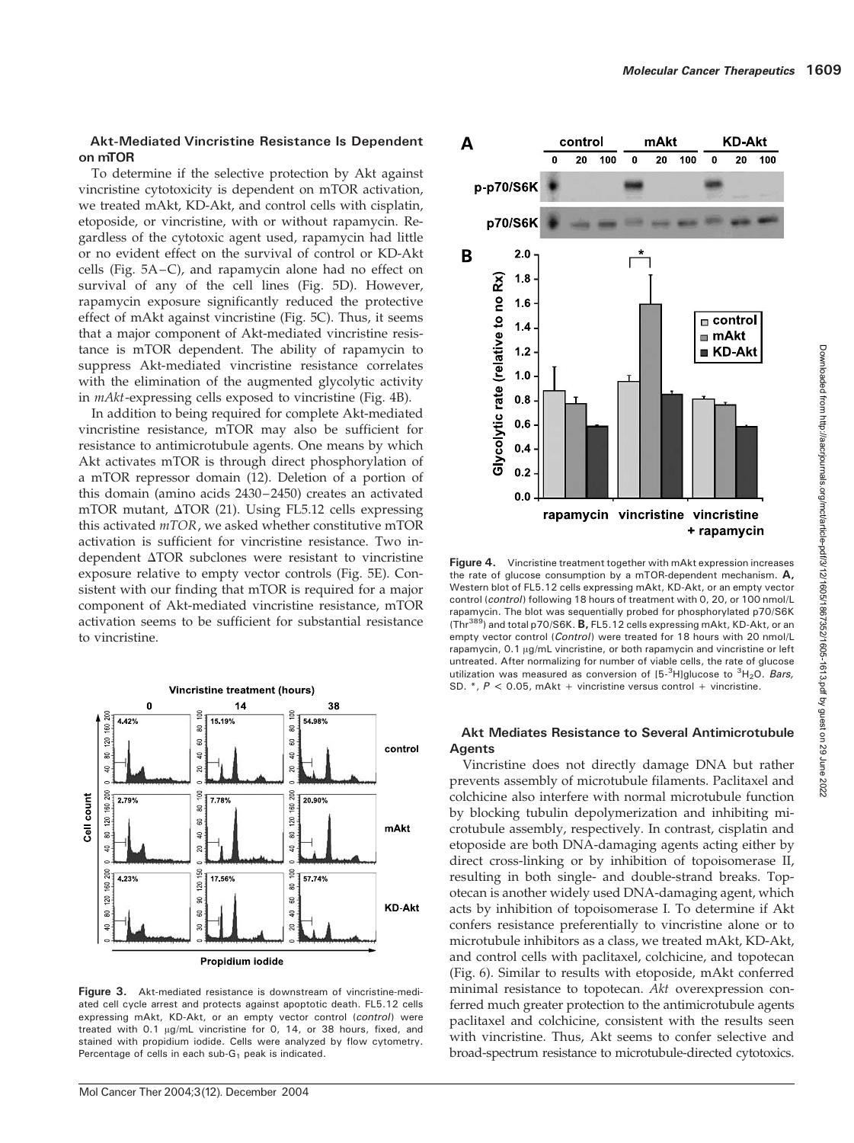#### Akt-Mediated Vincristine Resistance Is Dependent on mTOR

To determine if the selective protection by Akt against vincristine cytotoxicity is dependent on mTOR activation, we treated mAkt, KD-Akt, and control cells with cisplatin, etoposide, or vincristine, with or without rapamycin. Regardless of the cytotoxic agent used, rapamycin had little or no evident effect on the survival of control or KD-Akt cells (Fig. 5A–C), and rapamycin alone had no effect on survival of any of the cell lines (Fig. 5D). However, rapamycin exposure significantly reduced the protective effect of mAkt against vincristine (Fig. 5C). Thus, it seems that a major component of Akt-mediated vincristine resistance is mTOR dependent. The ability of rapamycin to suppress Akt-mediated vincristine resistance correlates with the elimination of the augmented glycolytic activity in mAkt-expressing cells exposed to vincristine (Fig. 4B).

In addition to being required for complete Akt-mediated vincristine resistance, mTOR may also be sufficient for resistance to antimicrotubule agents. One means by which Akt activates mTOR is through direct phosphorylation of a mTOR repressor domain (12). Deletion of a portion of this domain (amino acids 2430–2450) creates an activated mTOR mutant,  $\triangle$ TOR (21). Using FL5.12 cells expressing this activated mTOR, we asked whether constitutive mTOR activation is sufficient for vincristine resistance. Two independent  $\Delta TOR$  subclones were resistant to vincristine exposure relative to empty vector controls (Fig. 5E). Consistent with our finding that mTOR is required for a major component of Akt-mediated vincristine resistance, mTOR activation seems to be sufficient for substantial resistance to vincristine.



Figure 3. Akt-mediated resistance is downstream of vincristine-mediated cell cycle arrest and protects against apoptotic death. FL5.12 cells expressing mAkt, KD-Akt, or an empty vector control (control) were treated with  $0.1 \mu g/mL$  vincristine for 0, 14, or 38 hours, fixed, and stained with propidium iodide. Cells were analyzed by flow cytometry. Percentage of cells in each sub- $G_1$  peak is indicated.



Figure 4. Vincristine treatment together with mAkt expression increases the rate of glucose consumption by a mTOR-dependent mechanism.  $A$ , Western blot of FL5.12 cells expressing mAkt, KD-Akt, or an empty vector control (control) following 18 hours of treatment with 0, 20, or 100 nmol/L rapamycin. The blot was sequentially probed for phosphorylated p70/S6K (Thr<sup>389</sup>) and total p70/S6K. **B**, FL5.12 cells expressing mAkt, KD-Akt, or an empty vector control (Control) were treated for 18 hours with 20 nmol/L rapamycin, 0.1 µg/mL vincristine, or both rapamycin and vincristine or left untreated. After normalizing for number of viable cells, the rate of glucose utilization was measured as conversion of  $[5-<sup>3</sup>H]$ glucose to  $<sup>3</sup>H<sub>2</sub>O$ . Bars,</sup> SD.  $*, P < 0.05$ , mAkt + vincristine versus control + vincristine.

### Akt Mediates Resistance to Several Antimicrotubule Agents

Vincristine does not directly damage DNA but rather prevents assembly of microtubule filaments. Paclitaxel and colchicine also interfere with normal microtubule function by blocking tubulin depolymerization and inhibiting microtubule assembly, respectively. In contrast, cisplatin and etoposide are both DNA-damaging agents acting either by direct cross-linking or by inhibition of topoisomerase II, resulting in both single- and double-strand breaks. Topotecan is another widely used DNA-damaging agent, which acts by inhibition of topoisomerase I. To determine if Akt confers resistance preferentially to vincristine alone or to microtubule inhibitors as a class, we treated mAkt, KD-Akt, and control cells with paclitaxel, colchicine, and topotecan (Fig. 6). Similar to results with etoposide, mAkt conferred minimal resistance to topotecan. Akt overexpression conferred much greater protection to the antimicrotubule agents paclitaxel and colchicine, consistent with the results seen with vincristine. Thus, Akt seems to confer selective and broad-spectrum resistance to microtubule-directed cytotoxics.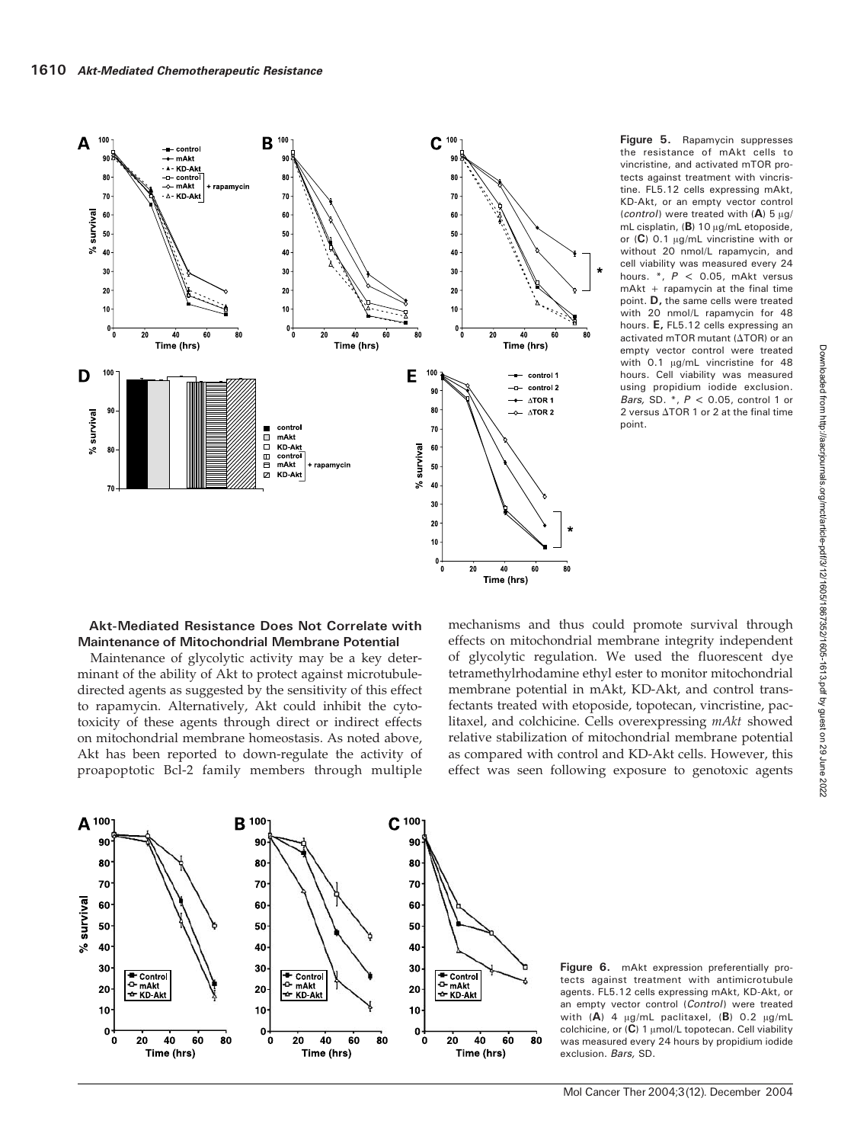

Figure 5. Rapamycin suppresses the resistance of mAkt cells to vincristine, and activated mTOR protects against treatment with vincristine. FL5.12 cells expressing mAkt, KD-Akt, or an empty vector control (control) were treated with  $(A)$  5  $\mu$ g/ mL cisplatin,  $(B)$  10  $\mu$ g/mL etoposide, or  $(C)$  0.1  $\mu$ g/mL vincristine with or without 20 nmol/L rapamycin, and cell viability was measured every 24 hours. \*, P < 0.05, mAkt versus mAkt + rapamycin at the final time point. D, the same cells were treated with 20 nmol/L rapamycin for 48 hours. E, FL5.12 cells expressing an activated mTOR mutant ( $\Delta$ TOR) or an empty vector control were treated with  $0.1$   $\mu$ g/mL vincristine for 48 hours. Cell viability was measured using propidium iodide exclusion. Bars, SD.  $*$ ,  $P < 0.05$ , control 1 or 2 versus  $\triangle$ TOR 1 or 2 at the final timepoint.

#### Akt-Mediated Resistance Does Not Correlate with Maintenance of Mitochondrial Membrane Potential

Maintenance of glycolytic activity may be a key determinant of the ability of Akt to protect against microtubuledirected agents as suggested by the sensitivity of this effect to rapamycin. Alternatively, Akt could inhibit the cytotoxicity of these agents through direct or indirect effects on mitochondrial membrane homeostasis. As noted above, Akt has been reported to down-regulate the activity of proapoptotic Bcl-2 family members through multiple mechanisms and thus could promote survival through effects on mitochondrial membrane integrity independent of glycolytic regulation. We used the fluorescent dye tetramethylrhodamine ethyl ester to monitor mitochondrial membrane potential in mAkt, KD-Akt, and control transfectants treated with etoposide, topotecan, vincristine, paclitaxel, and colchicine. Cells overexpressing mAkt showed relative stabilization of mitochondrial membrane potential as compared with control and KD-Akt cells. However, this effect was seen following exposure to genotoxic agents



Figure 6. mAkt expression preferentially protects against treatment with antimicrotubule agents. FL5.12 cells expressing mAkt, KD-Akt, or an empty vector control (Control) were treated with  $(A)$  4  $\mu$ g/mL paclitaxel,  $(B)$  0.2  $\mu$ g/mL colchicine, or  $(C)$  1  $\mu$ mol/L topotecan. Cell viability was measured every 24 hours by propidium iodide exclusion. Bars, SD.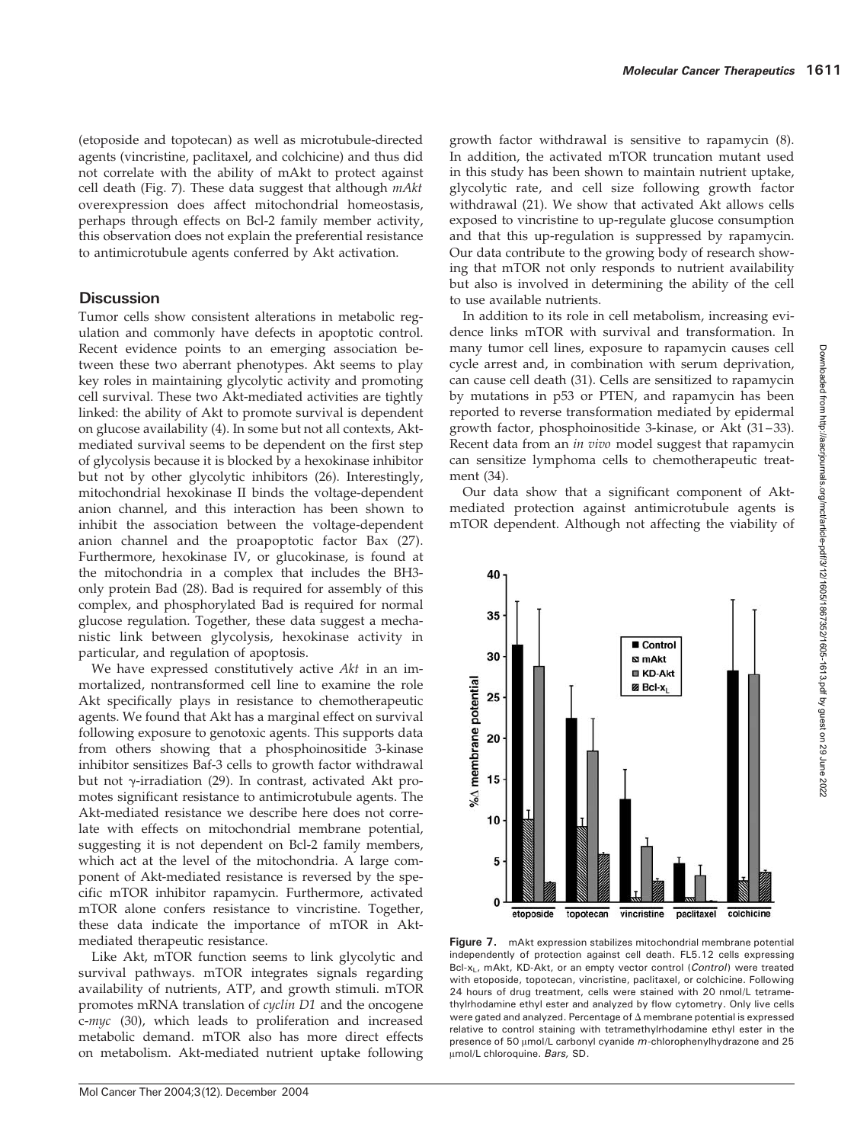(etoposide and topotecan) as well as microtubule-directed agents (vincristine, paclitaxel, and colchicine) and thus did not correlate with the ability of mAkt to protect against cell death (Fig. 7). These data suggest that although  $m$ Akt overexpression does affect mitochondrial homeostasis, perhaps through effects on Bcl-2 family member activity, this observation does not explain the preferential resistance to antimicrotubule agents conferred by Akt activation.

# **Discussion**

Tumor cells show consistent alterations in metabolic regulation and commonly have defects in apoptotic control. Recent evidence points to an emerging association between these two aberrant phenotypes. Akt seems to play key roles in maintaining glycolytic activity and promoting cell survival. These two Akt-mediated activities are tightly linked: the ability of Akt to promote survival is dependent on glucose availability (4). In some but not all contexts, Aktmediated survival seems to be dependent on the first step of glycolysis because it is blocked by a hexokinase inhibitor but not by other glycolytic inhibitors (26). Interestingly, mitochondrial hexokinase II binds the voltage-dependent anion channel, and this interaction has been shown to inhibit the association between the voltage-dependent anion channel and the proapoptotic factor Bax (27). Furthermore, hexokinase IV, or glucokinase, is found at the mitochondria in a complex that includes the BH3 only protein Bad (28). Bad is required for assembly of this complex, and phosphorylated Bad is required for normal glucose regulation. Together, these data suggest a mechanistic link between glycolysis, hexokinase activity in particular, and regulation of apoptosis.

We have expressed constitutively active Akt in an immortalized, nontransformed cell line to examine the role Akt specifically plays in resistance to chemotherapeutic agents. We found that Akt has a marginal effect on survival following exposure to genotoxic agents. This supports data from others showing that a phosphoinositide 3-kinase inhibitor sensitizes Baf-3 cells to growth factor withdrawal but not  $\gamma$ -irradiation (29). In contrast, activated Akt promotes significant resistance to antimicrotubule agents. The Akt-mediated resistance we describe here does not correlate with effects on mitochondrial membrane potential, suggesting it is not dependent on Bcl-2 family members, which act at the level of the mitochondria. A large component of Akt-mediated resistance is reversed by the specific mTOR inhibitor rapamycin. Furthermore, activated mTOR alone confers resistance to vincristine. Together, these data indicate the importance of mTOR in Aktmediated therapeutic resistance.

Like Akt, mTOR function seems to link glycolytic and survival pathways. mTOR integrates signals regarding availability of nutrients, ATP, and growth stimuli. mTOR promotes mRNA translation of cyclin D1 and the oncogene c-myc (30), which leads to proliferation and increased metabolic demand. mTOR also has more direct effects on metabolism. Akt-mediated nutrient uptake following growth factor withdrawal is sensitive to rapamycin (8). In addition, the activated mTOR truncation mutant used in this study has been shown to maintain nutrient uptake, glycolytic rate, and cell size following growth factor withdrawal (21). We show that activated Akt allows cells exposed to vincristine to up-regulate glucose consumption and that this up-regulation is suppressed by rapamycin. Our data contribute to the growing body of research showing that mTOR not only responds to nutrient availability but also is involved in determining the ability of the cell to use available nutrients.

In addition to its role in cell metabolism, increasing evidence links mTOR with survival and transformation. In many tumor cell lines, exposure to rapamycin causes cell cycle arrest and, in combination with serum deprivation, can cause cell death (31). Cells are sensitized to rapamycin by mutations in p53 or PTEN, and rapamycin has been reported to reverse transformation mediated by epidermal growth factor, phosphoinositide 3-kinase, or Akt (31–33). Recent data from an in vivo model suggest that rapamycin can sensitize lymphoma cells to chemotherapeutic treatment (34).

Our data show that a significant component of Aktmediated protection against antimicrotubule agents is mTOR dependent. Although not affecting the viability of



Figure 7. mAkt expression stabilizes mitochondrial membrane potential independently of protection against cell death. FL5.12 cells expressing Bcl-x<sub>L</sub>, mAkt, KD-Akt, or an empty vector control (Control) were treated with etoposide, topotecan, vincristine, paclitaxel, or colchicine. Following 24 hours of drug treatment, cells were stained with 20 nmol/L tetramethylrhodamine ethyl ester and analyzed by flow cytometry. Only live cells were gated and analyzed. Percentage of  $\Delta$  membrane potential is expressed relative to control staining with tetramethylrhodamine ethyl ester in the presence of 50  $\mu$ mol/L carbonyl cyanide m-chlorophenylhydrazone and 25 µmol/L chloroquine. Bars, SD.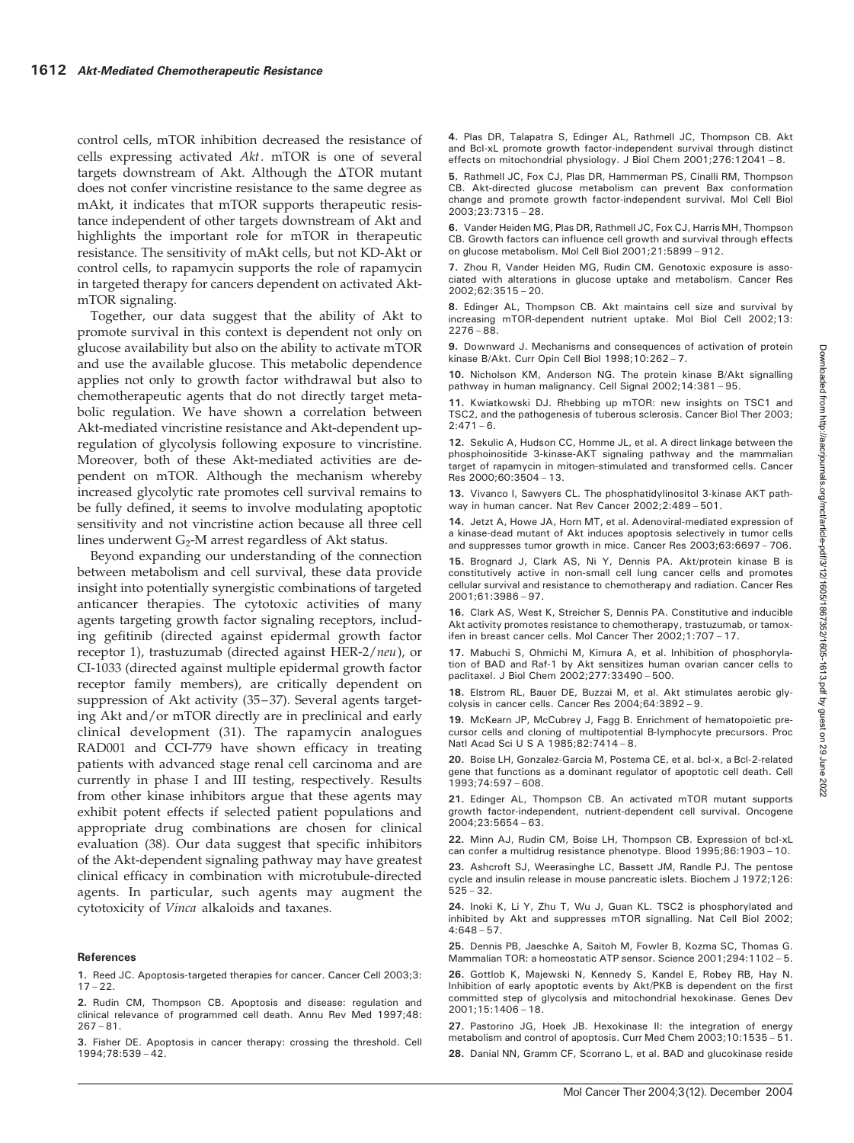control cells, mTOR inhibition decreased the resistance of cells expressing activated Akt. mTOR is one of several targets downstream of Akt. Although the  $\Delta TOR$  mutant does not confer vincristine resistance to the same degree as mAkt, it indicates that mTOR supports therapeutic resistance independent of other targets downstream of Akt and highlights the important role for mTOR in therapeutic resistance. The sensitivity of mAkt cells, but not KD-Akt or control cells, to rapamycin supports the role of rapamycin in targeted therapy for cancers dependent on activated AktmTOR signaling.

Together, our data suggest that the ability of Akt to promote survival in this context is dependent not only on glucose availability but also on the ability to activate mTOR and use the available glucose. This metabolic dependence applies not only to growth factor withdrawal but also to chemotherapeutic agents that do not directly target metabolic regulation. We have shown a correlation between Akt-mediated vincristine resistance and Akt-dependent upregulation of glycolysis following exposure to vincristine. Moreover, both of these Akt-mediated activities are dependent on mTOR. Although the mechanism whereby increased glycolytic rate promotes cell survival remains to be fully defined, it seems to involve modulating apoptotic sensitivity and not vincristine action because all three cell lines underwent  $G_2$ -M arrest regardless of Akt status.

Beyond expanding our understanding of the connection between metabolism and cell survival, these data provide insight into potentially synergistic combinations of targeted anticancer therapies. The cytotoxic activities of many agents targeting growth factor signaling receptors, including gefitinib (directed against epidermal growth factor receptor 1), trastuzumab (directed against HER-2/neu), or CI-1033 (directed against multiple epidermal growth factor receptor family members), are critically dependent on suppression of Akt activity (35–37). Several agents targeting Akt and/or mTOR directly are in preclinical and early clinical development (31). The rapamycin analogues RAD001 and CCI-779 have shown efficacy in treating patients with advanced stage renal cell carcinoma and are currently in phase I and III testing, respectively. Results from other kinase inhibitors argue that these agents may exhibit potent effects if selected patient populations and appropriate drug combinations are chosen for clinical evaluation (38). Our data suggest that specific inhibitors of the Akt-dependent signaling pathway may have greatest clinical efficacy in combination with microtubule-directed agents. In particular, such agents may augment the cytotoxicity of Vinca alkaloids and taxanes.

#### References

- 1. Reed JC. Apoptosis-targeted therapies for cancer. Cancer Cell 2003;3:  $17 - 22.$
- 2. Rudin CM, Thompson CB. Apoptosis and disease: regulation and clinical relevance of programmed cell death. Annu Rev Med 1997;48:  $267 - 81$ .

3. Fisher DE. Apoptosis in cancer therapy: crossing the threshold. Cell 1994;78:539 – 42.

4. Plas DR, Talapatra S, Edinger AL, Rathmell JC, Thompson CB. Akt and Bcl-xL promote growth factor-independent survival through distinct effects on mitochondrial physiology. J Biol Chem 2001;276:12041 – 8.

5. Rathmell JC, Fox CJ, Plas DR, Hammerman PS, Cinalli RM, Thompson CB. Akt-directed glucose metabolism can prevent Bax conformation change and promote growth factor-independent survival. Mol Cell Biol 2003;23:7315 – 28.

6. Vander Heiden MG, Plas DR, Rathmell JC, Fox CJ, Harris MH, Thompson CB. Growth factors can influence cell growth and survival through effects on glucose metabolism. Mol Cell Biol 2001;21:5899 – 912.

7. Zhou R, Vander Heiden MG, Rudin CM. Genotoxic exposure is associated with alterations in glucose uptake and metabolism. Cancer Res 2002;62:3515 – 20.

8. Edinger AL, Thompson CB. Akt maintains cell size and survival by increasing mTOR-dependent nutrient uptake. Mol Biol Cell 2002;13:  $2276 - 88$ .

9. Downward J. Mechanisms and consequences of activation of protein kinase B/Akt. Curr Opin Cell Biol 1998;10:262 – 7.

10. Nicholson KM, Anderson NG. The protein kinase B/Akt signalling pathway in human malignancy. Cell Signal 2002;14:381 – 95.

11. Kwiatkowski DJ. Rhebbing up mTOR: new insights on TSC1 and TSC2, and the pathogenesis of tuberous sclerosis. Cancer Biol Ther 2003;  $2:471 - 6$ .

12. Sekulic A, Hudson CC, Homme JL, et al. A direct linkage between the phosphoinositide 3-kinase-AKT signaling pathway and the mammalian target of rapamycin in mitogen-stimulated and transformed cells. Cancer Res 2000;60:3504 – 13.

13. Vivanco I, Sawyers CL. The phosphatidylinositol 3-kinase AKT pathway in human cancer. Nat Rev Cancer 2002;2:489 – 501.

14. Jetzt A, Howe JA, Horn MT, et al. Adenoviral-mediated expression of a kinase-dead mutant of Akt induces apoptosis selectively in tumor cells and suppresses tumor growth in mice. Cancer Res 2003;63:6697 – 706.

15. Brognard J, Clark AS, Ni Y, Dennis PA. Akt/protein kinase B is constitutively active in non-small cell lung cancer cells and promotes cellular survival and resistance to chemotherapy and radiation. Cancer Res 2001;61:3986 – 97.

16. Clark AS, West K, Streicher S, Dennis PA. Constitutive and inducible Akt activity promotes resistance to chemotherapy, trastuzumab, or tamoxifen in breast cancer cells. Mol Cancer Ther 2002;1:707 – 17.

17. Mabuchi S, Ohmichi M, Kimura A, et al. Inhibition of phosphorylation of BAD and Raf-1 by Akt sensitizes human ovarian cancer cells to paclitaxel. J Biol Chem 2002;277:33490 – 500.

18. Elstrom RL, Bauer DE, Buzzai M, et al. Akt stimulates aerobic glycolysis in cancer cells. Cancer Res 2004;64:3892 – 9.

19. McKearn JP, McCubrey J, Fagg B. Enrichment of hematopoietic precursor cells and cloning of multipotential B-lymphocyte precursors. Proc Natl Acad Sci U S A 1985;82:7414 – 8.

20. Boise LH, Gonzalez-Garcia M, Postema CE, et al. bcl-x, a Bcl-2-related gene that functions as a dominant regulator of apoptotic cell death. Cell 1993;74:597 – 608.

21. Edinger AL, Thompson CB. An activated mTOR mutant supports growth factor-independent, nutrient-dependent cell survival. Oncogene 2004;23:5654 – 63.

22. Minn AJ, Rudin CM, Boise LH, Thompson CB. Expression of bcl-xL can confer a multidrug resistance phenotype. Blood 1995;86:1903 – 10.

23. Ashcroft SJ, Weerasinghe LC, Bassett JM, Randle PJ. The pentose cycle and insulin release in mouse pancreatic islets. Biochem J 1972;126: 525 – 32.

24. Inoki K, Li Y, Zhu T, Wu J, Guan KL. TSC2 is phosphorylated and inhibited by Akt and suppresses mTOR signalling. Nat Cell Biol 2002;  $4:648 - 57.$ 

25. Dennis PB, Jaeschke A, Saitoh M, Fowler B, Kozma SC, Thomas G. Mammalian TOR: a homeostatic ATP sensor. Science 2001;294:1102 – 5.

26. Gottlob K, Majewski N, Kennedy S, Kandel E, Robey RB, Hay N. Inhibition of early apoptotic events by Akt/PKB is dependent on the first committed step of glycolysis and mitochondrial hexokinase. Genes Dev 2001;15:1406 – 18.

27. Pastorino JG, Hoek JB. Hexokinase II: the integration of energy metabolism and control of apoptosis. Curr Med Chem 2003;10:1535 – 51. 28. Danial NN, Gramm CF, Scorrano L, et al. BAD and glucokinase reside